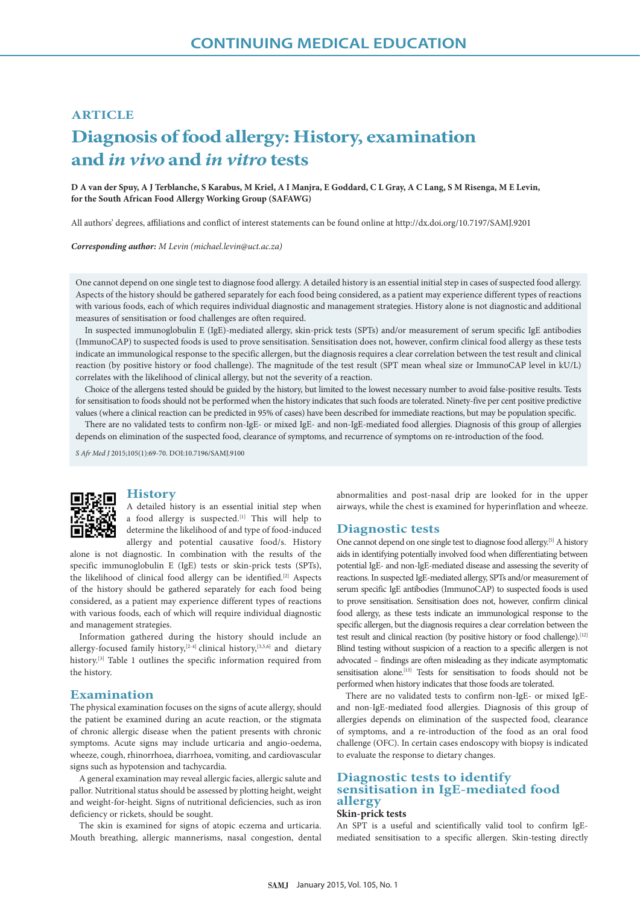## **ARTICLE**

# **Diagnosis of food allergy: History, examination and** *in vivo* **and** *in vitro* **tests**

**D A van der Spuy, A J Terblanche, S Karabus, M Kriel, A I Manjra, E Goddard, C L Gray, A C Lang, S M Risenga, M E Levin, for the South African Food Allergy Working Group (SAFAWG)**

All authors' degrees, affiliations and conflict of interest statements can be found online at http://dx.doi.org/10.7197/SAMJ.9201

*Corresponding author: M Levin (michael.levin@uct.ac.za)*

One cannot depend on one single test to diagnose food allergy. A detailed history is an essential initial step in cases of suspected food allergy. Aspects of the history should be gathered separately for each food being considered, as a patient may experience different types of reactions with various foods, each of which requires individual diagnostic and management strategies. History alone is not diagnostic and additional measures of sensitisation or food challenges are often required.

In suspected immunoglobulin E (IgE)-mediated allergy, skin-prick tests (SPTs) and/or measurement of serum specific IgE antibodies (ImmunoCAP) to suspected foods is used to prove sensitisation. Sensitisation does not, however, confirm clinical food allergy as these tests indicate an immunological response to the specific allergen, but the diagnosis requires a clear correlation between the test result and clinical reaction (by positive history or food challenge). The magnitude of the test result (SPT mean wheal size or ImmunoCAP level in kU/L) correlates with the likelihood of clinical allergy, but not the severity of a reaction.

Choice of the allergens tested should be guided by the history, but limited to the lowest necessary number to avoid false-positive results. Tests for sensitisation to foods should not be performed when the history indicates that such foods are tolerated. Ninety-five per cent positive predictive values (where a clinical reaction can be predicted in 95% of cases) have been described for immediate reactions, but may be population specific.

There are no validated tests to confirm non-IgE- or mixed IgE- and non-IgE-mediated food allergies. Diagnosis of this group of allergies depends on elimination of the suspected food, clearance of symptoms, and recurrence of symptoms on re-introduction of the food.

*S Afr Med J* 2015;105(1):69-70. DOI:10.7196/SAMJ.9100



#### **History**

A detailed history is an essential initial step when a food allergy is suspected.<sup>[1]</sup> This will help to determine the likelihood of and type of food-induced allergy and potential causative food/s. History

alone is not diagnostic. In combination with the results of the specific immunoglobulin E (IgE) tests or skin-prick tests (SPTs), the likelihood of clinical food allergy can be identified.<sup>[2]</sup> Aspects of the history should be gathered separately for each food being considered, as a patient may experience different types of reactions with various foods, each of which will require individual diagnostic and management strategies.

Information gathered during the history should include an allergy-focused family history,<sup>[2-4]</sup> clinical history,<sup>[3,5,6]</sup> and dietary history.<sup>[3]</sup> Table 1 outlines the specific information required from the history.

#### **Examination**

The physical examination focuses on the signs of acute allergy, should the patient be examined during an acute reaction, or the stigmata of chronic allergic disease when the patient presents with chronic symptoms. Acute signs may include urticaria and angio-oedema, wheeze, cough, rhinorrhoea, diarrhoea, vomiting, and cardiovascular signs such as hypotension and tachycardia.

A general examination may reveal allergic facies, allergic salute and pallor. Nutritional status should be assessed by plotting height, weight and weight-for-height. Signs of nutritional deficiencies, such as iron deficiency or rickets, should be sought.

The skin is examined for signs of atopic eczema and urticaria. Mouth breathing, allergic mannerisms, nasal congestion, dental abnormalities and post-nasal drip are looked for in the upper airways, while the chest is examined for hyperinflation and wheeze.

#### **Diagnostic tests**

One cannot depend on one single test to diagnose food allergy.[5] A history aids in identifying potentially involved food when differentiating between potential IgE- and non-IgE-mediated disease and assessing the severity of reactions. In suspected IgE-mediated allergy, SPTs and/or measurement of serum specific IgE antibodies (ImmunoCAP) to suspected foods is used to prove sensitisation. Sensitisation does not, however, confirm clinical food allergy, as these tests indicate an immunological response to the specific allergen, but the diagnosis requires a clear correlation between the test result and clinical reaction (by positive history or food challenge).<sup>[12]</sup> Blind testing without suspicion of a reaction to a specific allergen is not advocated – findings are often misleading as they indicate asymptomatic sensitisation alone.<sup>[13]</sup> Tests for sensitisation to foods should not be performed when history indicates that those foods are tolerated.

There are no validated tests to confirm non-IgE- or mixed IgEand non-IgE-mediated food allergies. Diagnosis of this group of allergies depends on elimination of the suspected food, clearance of symptoms, and a re-introduction of the food as an oral food challenge (OFC). In certain cases endoscopy with biopsy is indicated to evaluate the response to dietary changes.

## **Diagnostic tests to identify sensitisation in IgE-mediated food allergy**

### **Skin-prick tests**

An SPT is a useful and scientifically valid tool to confirm IgEmediated sensitisation to a specific allergen. Skin-testing directly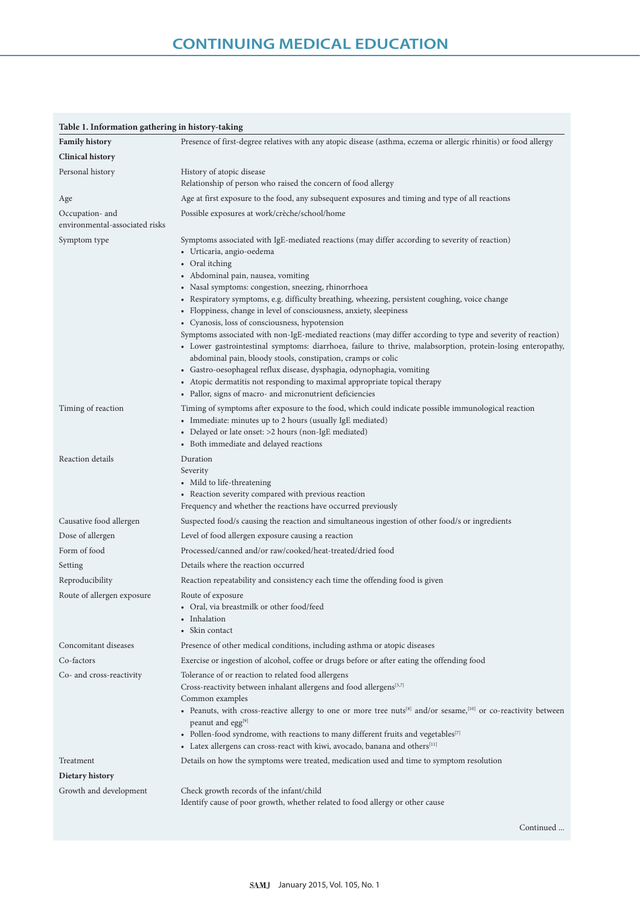| Table 1. Information gathering in history-taking  |                                                                                                                                                                                                                                                                                                                                                                                                                                                                                                                                                                                                                                                                                                                                                                                                                                                                                                                                                                                       |
|---------------------------------------------------|---------------------------------------------------------------------------------------------------------------------------------------------------------------------------------------------------------------------------------------------------------------------------------------------------------------------------------------------------------------------------------------------------------------------------------------------------------------------------------------------------------------------------------------------------------------------------------------------------------------------------------------------------------------------------------------------------------------------------------------------------------------------------------------------------------------------------------------------------------------------------------------------------------------------------------------------------------------------------------------|
| <b>Family history</b>                             | Presence of first-degree relatives with any atopic disease (asthma, eczema or allergic rhinitis) or food allergy                                                                                                                                                                                                                                                                                                                                                                                                                                                                                                                                                                                                                                                                                                                                                                                                                                                                      |
| <b>Clinical history</b>                           |                                                                                                                                                                                                                                                                                                                                                                                                                                                                                                                                                                                                                                                                                                                                                                                                                                                                                                                                                                                       |
| Personal history                                  | History of atopic disease                                                                                                                                                                                                                                                                                                                                                                                                                                                                                                                                                                                                                                                                                                                                                                                                                                                                                                                                                             |
|                                                   | Relationship of person who raised the concern of food allergy                                                                                                                                                                                                                                                                                                                                                                                                                                                                                                                                                                                                                                                                                                                                                                                                                                                                                                                         |
| Age                                               | Age at first exposure to the food, any subsequent exposures and timing and type of all reactions                                                                                                                                                                                                                                                                                                                                                                                                                                                                                                                                                                                                                                                                                                                                                                                                                                                                                      |
| Occupation- and<br>environmental-associated risks | Possible exposures at work/crèche/school/home                                                                                                                                                                                                                                                                                                                                                                                                                                                                                                                                                                                                                                                                                                                                                                                                                                                                                                                                         |
| Symptom type                                      | Symptoms associated with IgE-mediated reactions (may differ according to severity of reaction)<br>• Urticaria, angio-oedema<br>• Oral itching<br>• Abdominal pain, nausea, vomiting<br>• Nasal symptoms: congestion, sneezing, rhinorrhoea<br>• Respiratory symptoms, e.g. difficulty breathing, wheezing, persistent coughing, voice change<br>• Floppiness, change in level of consciousness, anxiety, sleepiness<br>• Cyanosis, loss of consciousness, hypotension<br>Symptoms associated with non-IgE-mediated reactions (may differ according to type and severity of reaction)<br>• Lower gastrointestinal symptoms: diarrhoea, failure to thrive, malabsorption, protein-losing enteropathy,<br>abdominal pain, bloody stools, constipation, cramps or colic<br>· Gastro-oesophageal reflux disease, dysphagia, odynophagia, vomiting<br>• Atopic dermatitis not responding to maximal appropriate topical therapy<br>• Pallor, signs of macro- and micronutrient deficiencies |
| Timing of reaction                                | Timing of symptoms after exposure to the food, which could indicate possible immunological reaction<br>• Immediate: minutes up to 2 hours (usually IgE mediated)<br>• Delayed or late onset: >2 hours (non-IgE mediated)<br>• Both immediate and delayed reactions                                                                                                                                                                                                                                                                                                                                                                                                                                                                                                                                                                                                                                                                                                                    |
| Reaction details                                  | Duration<br>Severity<br>• Mild to life-threatening<br>• Reaction severity compared with previous reaction<br>Frequency and whether the reactions have occurred previously                                                                                                                                                                                                                                                                                                                                                                                                                                                                                                                                                                                                                                                                                                                                                                                                             |
| Causative food allergen                           | Suspected food/s causing the reaction and simultaneous ingestion of other food/s or ingredients                                                                                                                                                                                                                                                                                                                                                                                                                                                                                                                                                                                                                                                                                                                                                                                                                                                                                       |
| Dose of allergen                                  | Level of food allergen exposure causing a reaction                                                                                                                                                                                                                                                                                                                                                                                                                                                                                                                                                                                                                                                                                                                                                                                                                                                                                                                                    |
| Form of food                                      | Processed/canned and/or raw/cooked/heat-treated/dried food                                                                                                                                                                                                                                                                                                                                                                                                                                                                                                                                                                                                                                                                                                                                                                                                                                                                                                                            |
| Setting                                           | Details where the reaction occurred                                                                                                                                                                                                                                                                                                                                                                                                                                                                                                                                                                                                                                                                                                                                                                                                                                                                                                                                                   |
| Reproducibility                                   | Reaction repeatability and consistency each time the offending food is given                                                                                                                                                                                                                                                                                                                                                                                                                                                                                                                                                                                                                                                                                                                                                                                                                                                                                                          |
| Route of allergen exposure                        | Route of exposure<br>• Oral, via breastmilk or other food/feed<br>• Inhalation<br>• Skin contact                                                                                                                                                                                                                                                                                                                                                                                                                                                                                                                                                                                                                                                                                                                                                                                                                                                                                      |
| Concomitant diseases                              | Presence of other medical conditions, including asthma or atopic diseases                                                                                                                                                                                                                                                                                                                                                                                                                                                                                                                                                                                                                                                                                                                                                                                                                                                                                                             |
| Co-factors                                        | Exercise or ingestion of alcohol, coffee or drugs before or after eating the offending food                                                                                                                                                                                                                                                                                                                                                                                                                                                                                                                                                                                                                                                                                                                                                                                                                                                                                           |
| Co- and cross-reactivity                          | Tolerance of or reaction to related food allergens<br>Cross-reactivity between inhalant allergens and food allergens <sup>[5,7]</sup><br>Common examples<br>• Peanuts, with cross-reactive allergy to one or more tree nuts <sup>[8]</sup> and/or sesame, <sup>[10]</sup> or co-reactivity between<br>peanut and egg <sup>[9]</sup><br>• Pollen-food syndrome, with reactions to many different fruits and vegetables <sup>[7]</sup><br>• Latex allergens can cross-react with kiwi, avocado, banana and others <sup>[11]</sup>                                                                                                                                                                                                                                                                                                                                                                                                                                                       |
| Treatment                                         | Details on how the symptoms were treated, medication used and time to symptom resolution                                                                                                                                                                                                                                                                                                                                                                                                                                                                                                                                                                                                                                                                                                                                                                                                                                                                                              |
| Dietary history                                   |                                                                                                                                                                                                                                                                                                                                                                                                                                                                                                                                                                                                                                                                                                                                                                                                                                                                                                                                                                                       |
| Growth and development                            | Check growth records of the infant/child<br>Identify cause of poor growth, whether related to food allergy or other cause                                                                                                                                                                                                                                                                                                                                                                                                                                                                                                                                                                                                                                                                                                                                                                                                                                                             |

Continued ...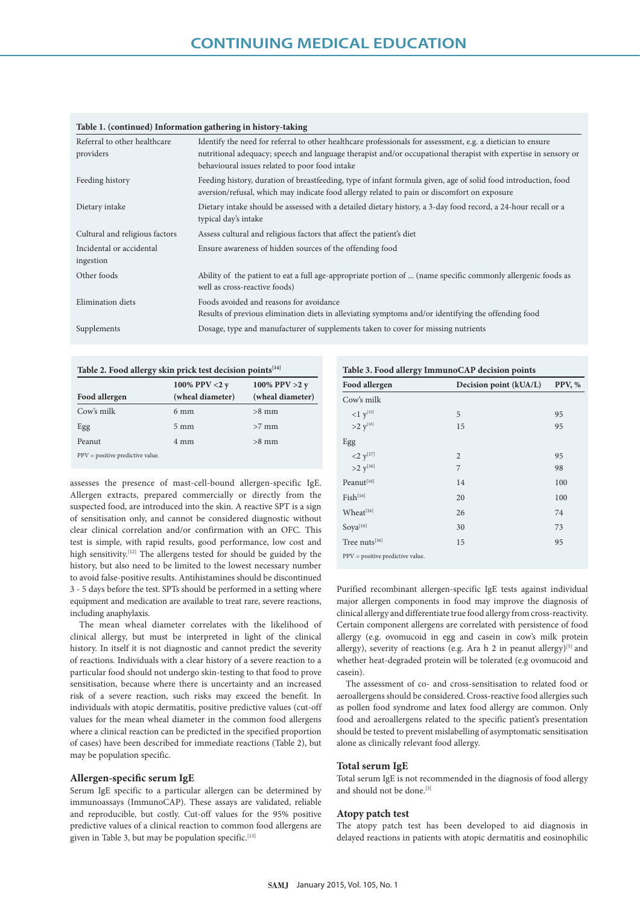| Referral to other healthcare<br>providers | Identify the need for referral to other healthcare professionals for assessment, e.g. a dietician to ensure<br>nutritional adequacy; speech and language therapist and/or occupational therapist with expertise in sensory or<br>behavioural issues related to poor food intake |  |
|-------------------------------------------|---------------------------------------------------------------------------------------------------------------------------------------------------------------------------------------------------------------------------------------------------------------------------------|--|
| Feeding history                           | Feeding history, duration of breastfeeding, type of infant formula given, age of solid food introduction, food<br>aversion/refusal, which may indicate food allergy related to pain or discomfort on exposure                                                                   |  |
| Dietary intake                            | Dietary intake should be assessed with a detailed dietary history, a 3-day food record, a 24-hour recall or a<br>typical day's intake                                                                                                                                           |  |
| Cultural and religious factors            | Assess cultural and religious factors that affect the patient's diet                                                                                                                                                                                                            |  |
| Incidental or accidental<br>ingestion     | Ensure awareness of hidden sources of the offending food                                                                                                                                                                                                                        |  |
| Other foods                               | Ability of the patient to eat a full age-appropriate portion of  (name specific commonly allergenic foods as<br>well as cross-reactive foods)                                                                                                                                   |  |
| Elimination diets                         | Foods avoided and reasons for avoidance<br>Results of previous elimination diets in alleviating symptoms and/or identifying the offending food                                                                                                                                  |  |
| Supplements                               | Dosage, type and manufacturer of supplements taken to cover for missing nutrients                                                                                                                                                                                               |  |

#### **Table 1. (continued) Information gathering in history-taking**

Table 2. Food allergy skin prick test decision points<sup>[14]</sup> **Food allergen 100% PPV <2 y (wheal diameter) 100% PPV >2 y (wheal diameter)**  $Cow's milk$  6 mm  $>8$  mm Egg  $5 \text{ mm}$   $>7 \text{ mm}$ Peanut 4 mm  $>8$  mm PPV = positive predictive value.

assesses the presence of mast-cell-bound allergen-specific IgE. Allergen extracts, prepared commercially or directly from the suspected food, are introduced into the skin. A reactive SPT is a sign of sensitisation only, and cannot be considered diagnostic without clear clinical correlation and/or confirmation with an OFC. This test is simple, with rapid results, good performance, low cost and high sensitivity.<sup>[12]</sup> The allergens tested for should be guided by the history, but also need to be limited to the lowest necessary number to avoid false-positive results. Antihistamines should be discontinued 3 - 5 days before the test. SPTs should be performed in a setting where equipment and medication are available to treat rare, severe reactions, including anaphylaxis.

The mean wheal diameter correlates with the likelihood of clinical allergy, but must be interpreted in light of the clinical history. In itself it is not diagnostic and cannot predict the severity of reactions. Individuals with a clear history of a severe reaction to a particular food should not undergo skin-testing to that food to prove sensitisation, because where there is uncertainty and an increased risk of a severe reaction, such risks may exceed the benefit. In individuals with atopic dermatitis, positive predictive values (cut-off values for the mean wheal diameter in the common food allergens where a clinical reaction can be predicted in the specified proportion of cases) have been described for immediate reactions (Table 2), but may be population specific.

#### **Allergen-specific serum IgE**

Serum IgE specific to a particular allergen can be determined by immunoassays (ImmunoCAP). These assays are validated, reliable and reproducible, but costly. Cut-off values for the 95% positive predictive values of a clinical reaction to common food allergens are given in Table 3, but may be population specific.[13]

| Food allergen                      | Decision point (kUA/L) | PPV, % |
|------------------------------------|------------------------|--------|
| Cow's milk                         |                        |        |
| $1 \, y^{[15]}$                    | 5                      | 95     |
| $>2$ $y^{[16]}$                    | 15                     | 95     |
| Egg                                |                        |        |
|                                    | $\overline{2}$         | 95     |
| <2 $y^{[17]}$<br>>2 $y^{[16]}$     | 7                      | 98     |
| Peanut[16]                         | 14                     | 100    |
| $Fish^{[16]}$                      | 20                     | 100    |
| Wheat[16]                          | 26                     | 74     |
| Soya[16]                           | 30                     | 73     |
| Tree nuts[16]                      | 15                     | 95     |
| $PPV = positive$ predictive value. |                        |        |

Purified recombinant allergen-specific IgE tests against individual major allergen components in food may improve the diagnosis of clinical allergy and differentiate true food allergy from cross-reactivity. Certain component allergens are correlated with persistence of food allergy (e.g. ovomucoid in egg and casein in cow's milk protein allergy), severity of reactions (e.g. Ara h 2 in peanut allergy)<sup>[5]</sup> and whether heat-degraded protein will be tolerated (e.g ovomucoid and casein).

The assessment of co- and cross-sensitisation to related food or aeroallergens should be considered. Cross-reactive food allergies such as pollen food syndrome and latex food allergy are common. Only food and aeroallergens related to the specific patient's presentation should be tested to prevent mislabelling of asymptomatic sensitisation alone as clinically relevant food allergy.

#### **Total serum IgE**

Total serum IgE is not recommended in the diagnosis of food allergy and should not be done.<sup>[3]</sup>

#### **Atopy patch test**

The atopy patch test has been developed to aid diagnosis in delayed reactions in patients with atopic dermatitis and eosinophilic